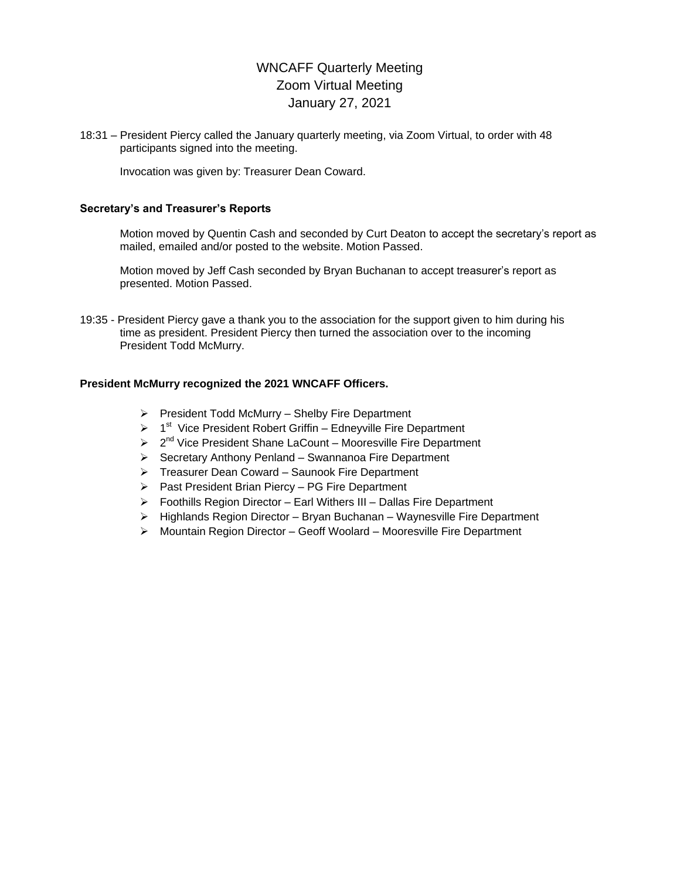# WNCAFF Quarterly Meeting Zoom Virtual Meeting January 27, 2021

18:31 – President Piercy called the January quarterly meeting, via Zoom Virtual, to order with 48 participants signed into the meeting.

Invocation was given by: Treasurer Dean Coward.

### **Secretary's and Treasurer's Reports**

Motion moved by Quentin Cash and seconded by Curt Deaton to accept the secretary's report as mailed, emailed and/or posted to the website. Motion Passed.

Motion moved by Jeff Cash seconded by Bryan Buchanan to accept treasurer's report as presented. Motion Passed.

19:35 - President Piercy gave a thank you to the association for the support given to him during his time as president. President Piercy then turned the association over to the incoming President Todd McMurry.

# **President McMurry recognized the 2021 WNCAFF Officers.**

- $\triangleright$  President Todd McMurry Shelby Fire Department
- $\triangleright$  1<sup>st</sup> Vice President Robert Griffin Edneyville Fire Department
- $\geq 2^{nd}$  Vice President Shane LaCount Mooresville Fire Department
- $\triangleright$  Secretary Anthony Penland Swannanoa Fire Department
- Treasurer Dean Coward Saunook Fire Department
- $\triangleright$  Past President Brian Piercy PG Fire Department
- $\triangleright$  Foothills Region Director Earl Withers III Dallas Fire Department
- $\triangleright$  Highlands Region Director Bryan Buchanan Waynesville Fire Department
- Mountain Region Director Geoff Woolard Mooresville Fire Department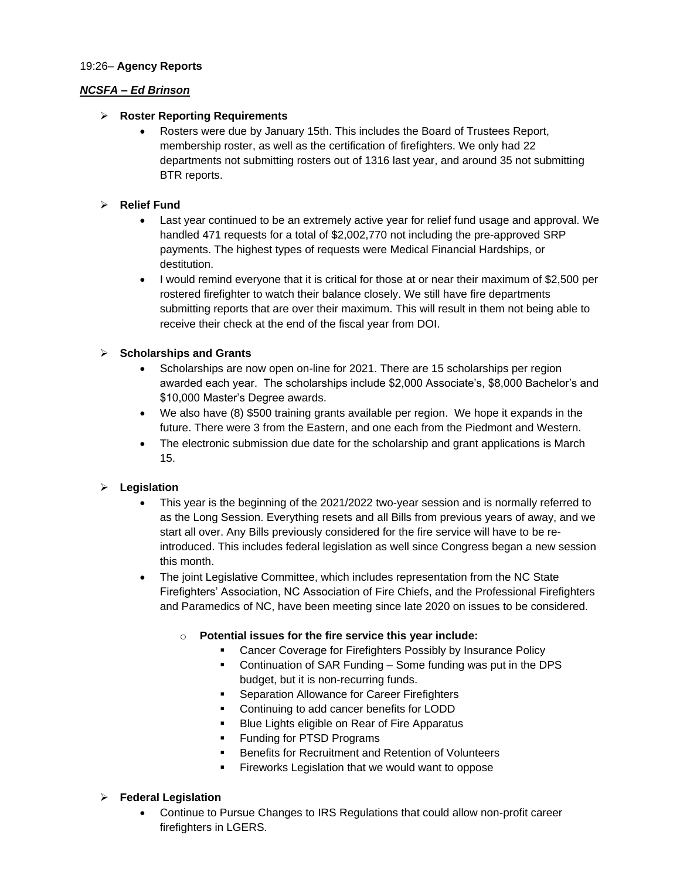#### 19:26– **Agency Reports**

# *NCSFA – Ed Brinson*

# **Roster Reporting Requirements**

 Rosters were due by January 15th. This includes the Board of Trustees Report, membership roster, as well as the certification of firefighters. We only had 22 departments not submitting rosters out of 1316 last year, and around 35 not submitting BTR reports.

# **Relief Fund**

- Last year continued to be an extremely active year for relief fund usage and approval. We handled 471 requests for a total of \$2,002,770 not including the pre-approved SRP payments. The highest types of requests were Medical Financial Hardships, or destitution.
- I would remind everyone that it is critical for those at or near their maximum of \$2,500 per rostered firefighter to watch their balance closely. We still have fire departments submitting reports that are over their maximum. This will result in them not being able to receive their check at the end of the fiscal year from DOI.

# **Scholarships and Grants**

- Scholarships are now open on-line for 2021. There are 15 scholarships per region awarded each year. The scholarships include \$2,000 Associate's, \$8,000 Bachelor's and \$10,000 Master's Degree awards.
- We also have (8) \$500 training grants available per region. We hope it expands in the future. There were 3 from the Eastern, and one each from the Piedmont and Western.
- The electronic submission due date for the scholarship and grant applications is March 15.

# **Legislation**

- This year is the beginning of the 2021/2022 two-year session and is normally referred to as the Long Session. Everything resets and all Bills from previous years of away, and we start all over. Any Bills previously considered for the fire service will have to be reintroduced. This includes federal legislation as well since Congress began a new session this month.
- The joint Legislative Committee, which includes representation from the NC State Firefighters' Association, NC Association of Fire Chiefs, and the Professional Firefighters and Paramedics of NC, have been meeting since late 2020 on issues to be considered.
	- Potential issues for the fire service this year include:
		- Cancer Coverage for Firefighters Possibly by Insurance Policy
		- Continuation of SAR Funding Some funding was put in the DPS budget, but it is non-recurring funds.
		- **Separation Allowance for Career Firefighters**
		- **•** Continuing to add cancer benefits for LODD
		- **Blue Lights eligible on Rear of Fire Apparatus**
		- Funding for PTSD Programs
		- Benefits for Recruitment and Retention of Volunteers
		- Fireworks Legislation that we would want to oppose

# **Federal Legislation**

 Continue to Pursue Changes to IRS Regulations that could allow non-profit career firefighters in LGERS.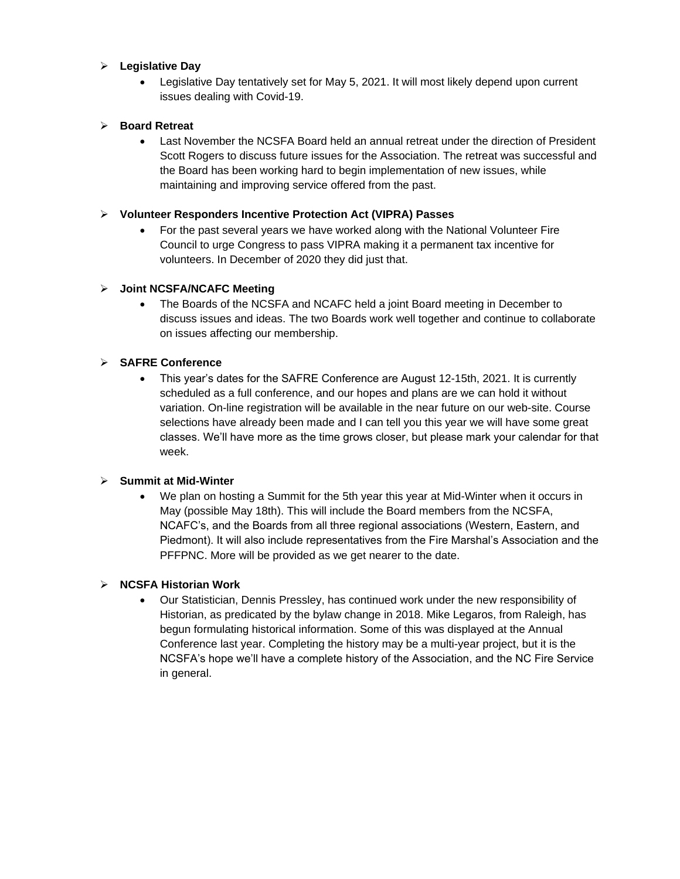# **Legislative Day**

 Legislative Day tentatively set for May 5, 2021. It will most likely depend upon current issues dealing with Covid-19.

# **Board Retreat**

 Last November the NCSFA Board held an annual retreat under the direction of President Scott Rogers to discuss future issues for the Association. The retreat was successful and the Board has been working hard to begin implementation of new issues, while maintaining and improving service offered from the past.

# **Volunteer Responders Incentive Protection Act (VIPRA) Passes**

 For the past several years we have worked along with the National Volunteer Fire Council to urge Congress to pass VIPRA making it a permanent tax incentive for volunteers. In December of 2020 they did just that.

# **Joint NCSFA/NCAFC Meeting**

 The Boards of the NCSFA and NCAFC held a joint Board meeting in December to discuss issues and ideas. The two Boards work well together and continue to collaborate on issues affecting our membership.

# **SAFRE Conference**

 This year's dates for the SAFRE Conference are August 12-15th, 2021. It is currently scheduled as a full conference, and our hopes and plans are we can hold it without variation. On-line registration will be available in the near future on our web-site. Course selections have already been made and I can tell you this year we will have some great classes. We'll have more as the time grows closer, but please mark your calendar for that week.

# **Summit at Mid-Winter**

 We plan on hosting a Summit for the 5th year this year at Mid-Winter when it occurs in May (possible May 18th). This will include the Board members from the NCSFA, NCAFC's, and the Boards from all three regional associations (Western, Eastern, and Piedmont). It will also include representatives from the Fire Marshal's Association and the PFFPNC. More will be provided as we get nearer to the date.

# **NCSFA Historian Work**

 Our Statistician, Dennis Pressley, has continued work under the new responsibility of Historian, as predicated by the bylaw change in 2018. Mike Legaros, from Raleigh, has begun formulating historical information. Some of this was displayed at the Annual Conference last year. Completing the history may be a multi-year project, but it is the NCSFA's hope we'll have a complete history of the Association, and the NC Fire Service in general.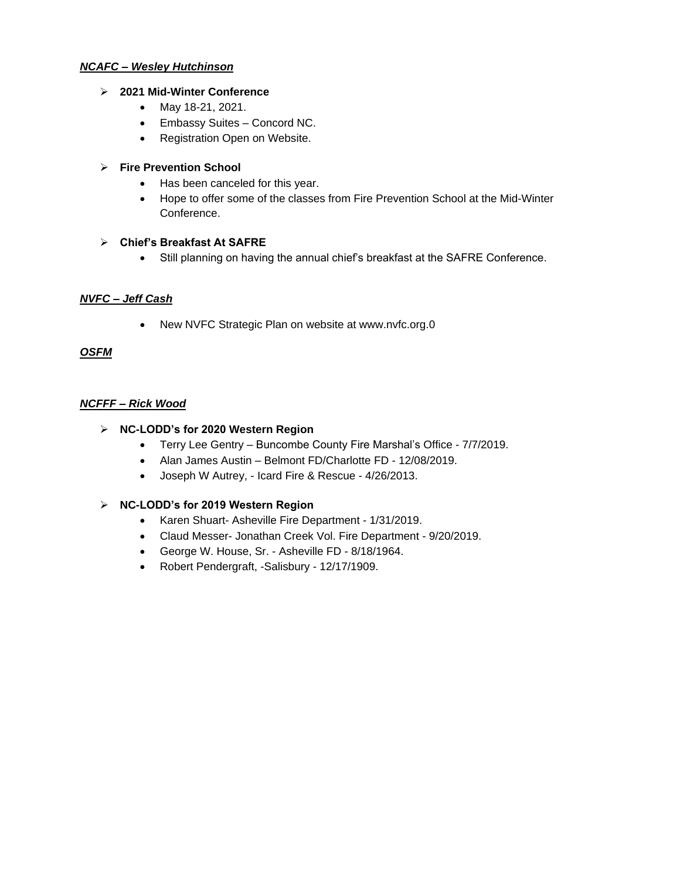#### *NCAFC – Wesley Hutchinson*

### **2021 Mid-Winter Conference**

- May 18-21, 2021.
- Embassy Suites Concord NC.
- Registration Open on Website.

# **Fire Prevention School**

- Has been canceled for this year.
- Hope to offer some of the classes from Fire Prevention School at the Mid-Winter Conference.

# **Chief's Breakfast At SAFRE**

Still planning on having the annual chief's breakfast at the SAFRE Conference.

# *NVFC – Jeff Cash*

• New NVFC Strategic Plan on website at www.nvfc.org.0

# *OSFM*

# *NCFFF – Rick Wood*

# **NC-LODD's for 2020 Western Region**

- Terry Lee Gentry Buncombe County Fire Marshal's Office 7/7/2019.
- Alan James Austin Belmont FD/Charlotte FD 12/08/2019.
- Joseph W Autrey, Icard Fire & Rescue 4/26/2013.

# **NC-LODD's for 2019 Western Region**

- Karen Shuart- Asheville Fire Department 1/31/2019.
- Claud Messer- Jonathan Creek Vol. Fire Department 9/20/2019.
- George W. House, Sr. Asheville FD 8/18/1964.
- Robert Pendergraft, -Salisbury 12/17/1909.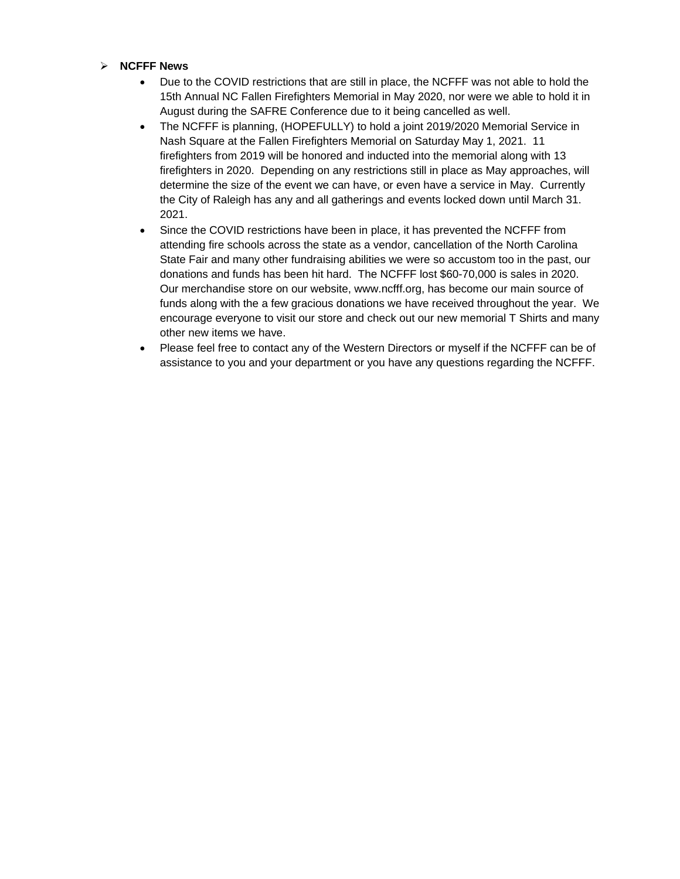#### **NCFFF News**

- Due to the COVID restrictions that are still in place, the NCFFF was not able to hold the 15th Annual NC Fallen Firefighters Memorial in May 2020, nor were we able to hold it in August during the SAFRE Conference due to it being cancelled as well.
- The NCFFF is planning, (HOPEFULLY) to hold a joint 2019/2020 Memorial Service in Nash Square at the Fallen Firefighters Memorial on Saturday May 1, 2021. 11 firefighters from 2019 will be honored and inducted into the memorial along with 13 firefighters in 2020. Depending on any restrictions still in place as May approaches, will determine the size of the event we can have, or even have a service in May. Currently the City of Raleigh has any and all gatherings and events locked down until March 31. 2021.
- Since the COVID restrictions have been in place, it has prevented the NCFFF from attending fire schools across the state as a vendor, cancellation of the North Carolina State Fair and many other fundraising abilities we were so accustom too in the past, our donations and funds has been hit hard. The NCFFF lost \$60-70,000 is sales in 2020. Our merchandise store on our website, www.ncfff.org, has become our main source of funds along with the a few gracious donations we have received throughout the year. We encourage everyone to visit our store and check out our new memorial T Shirts and many other new items we have.
- Please feel free to contact any of the Western Directors or myself if the NCFFF can be of assistance to you and your department or you have any questions regarding the NCFFF.